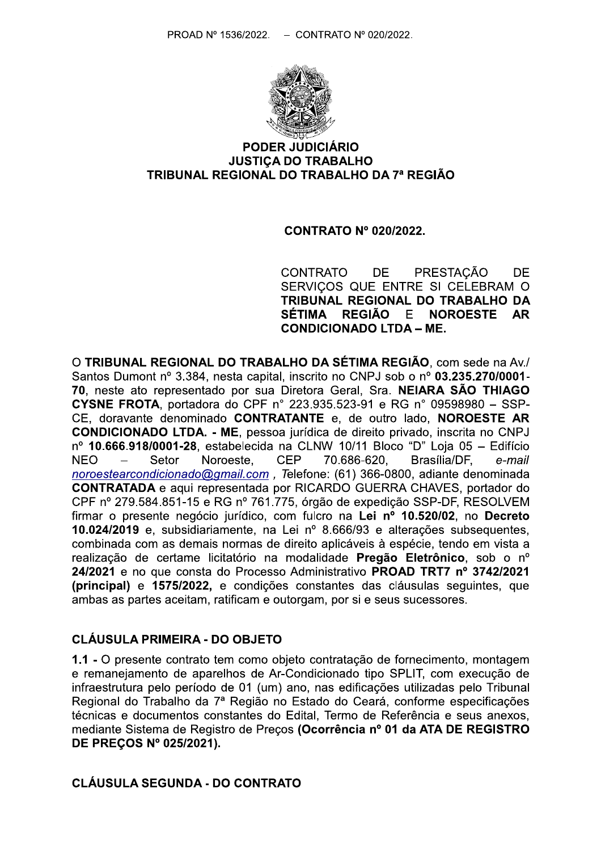

#### **PODER JUDICIÁRIO JUSTICA DO TRABALHO** TRIBUNAL REGIONAL DO TRABALHO DA 7ª REGIÃO

#### **CONTRATO Nº 020/2022.**

**CONTRATO** DE. **PRESTACÃO DF** SERVICOS QUE ENTRE SI CELEBRAM O TRIBUNAL REGIONAL DO TRABALHO DA **SÉTIMA** REGIÃO - E **NOROESTE AR CONDICIONADO LTDA - ME.** 

O TRIBUNAL REGIONAL DO TRABALHO DA SÉTIMA REGIÃO, com sede na Av./ Santos Dumont nº 3.384, nesta capital, inscrito no CNPJ sob o nº 03.235.270/0001-70, neste ato representado por sua Diretora Geral, Sra. NEIARA SÃO THIAGO **CYSNE FROTA**, portadora do CPF n° 223.935.523-91 e RG n° 09598980 - SSP-CE, doravante denominado CONTRATANTE e, de outro lado, NOROESTE AR **CONDICIONADO LTDA. - ME**, pessoa jurídica de direito privado, inscrita no CNPJ  $n^{\circ}$  10.666.918/0001-28, estabelecida na CLNW 10/11 Bloco "D" Loja 05 - Edifício **NEO** Setor Noroeste. **CEP** 70.686-620. Brasília/DF. e-mail noroestearcondicionado@gmail.com, Telefone: (61) 366-0800, adiante denominada **CONTRATADA** e aqui representada por RICARDO GUERRA CHAVES, portador do CPF nº 279.584.851-15 e RG nº 761.775, órgão de expedição SSP-DF, RESOLVEM firmar o presente negócio jurídico, com fulcro na Lei nº 10.520/02, no Decreto 10.024/2019 e, subsidiariamente, na Lei nº 8.666/93 e alterações subsequentes, combinada com as demais normas de direito aplicáveis à espécie, tendo em vista a realização de certame licitatório na modalidade Pregão Eletrônico, sob o nº 24/2021 e no que consta do Processo Administrativo PROAD TRT7 nº 3742/2021 (principal) e 1575/2022, e condições constantes das cláusulas sequintes, que ambas as partes aceitam, ratificam e outorgam, por si e seus sucessores.

## **CLÁUSULA PRIMEIRA - DO OBJETO**

1.1 - O presente contrato tem como objeto contratação de fornecimento, montagem e remanejamento de aparelhos de Ar-Condicionado tipo SPLIT, com execução de infraestrutura pelo período de 01 (um) ano, nas edificações utilizadas pelo Tribunal Regional do Trabalho da 7ª Região no Estado do Ceará, conforme especificações técnicas e documentos constantes do Edital, Termo de Referência e seus anexos, mediante Sistema de Registro de Precos (Ocorrência nº 01 da ATA DE REGISTRO DE PREÇOS Nº 025/2021).

#### **CLÁUSULA SEGUNDA - DO CONTRATO**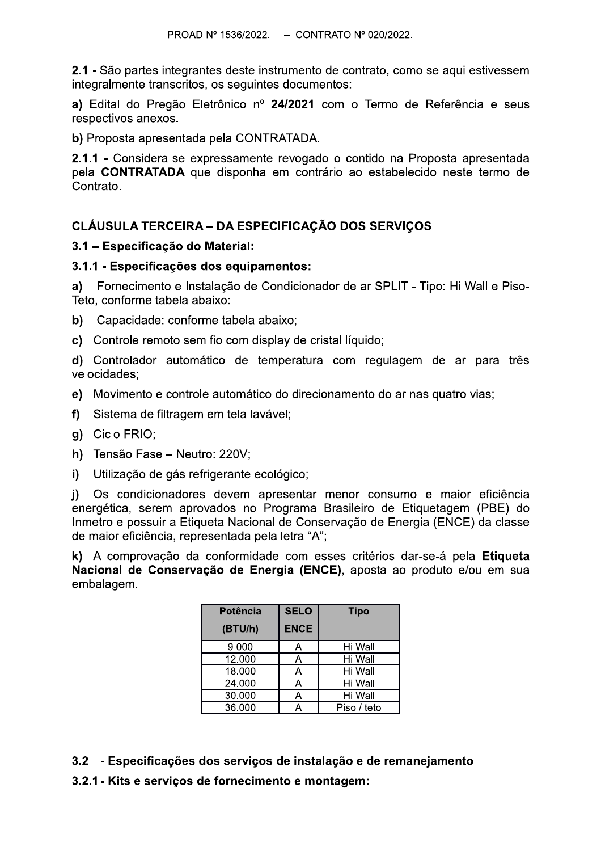2.1 - São partes integrantes deste instrumento de contrato, como se aqui estivessem integralmente transcritos, os seguintes documentos:

a) Edital do Pregão Eletrônico nº 24/2021 com o Termo de Referência e seus respectivos anexos.

b) Proposta apresentada pela CONTRATADA.

2.1.1 - Considera-se expressamente revogado o contido na Proposta apresentada pela CONTRATADA que disponha em contrário ao estabelecido neste termo de Contrato.

## CLÁUSULA TERCEIRA – DA ESPECIFICAÇÃO DOS SERVIÇOS

#### 3.1 - Especificação do Material:

#### 3.1.1 - Especificações dos equipamentos:

a) Fornecimento e Instalação de Condicionador de ar SPLIT - Tipo: Hi Wall e Piso-Teto, conforme tabela abaixo:

- b) Capacidade: conforme tabela abaixo;
- c) Controle remoto sem fio com display de cristal líquido:

d) Controlador automático de temperatura com regulagem de ar para três velocidades:

- e) Movimento e controle automático do direcionamento do ar nas quatro vias;
- f) Sistema de filtragem em tela lavável;
- g) Ciclo FRIO;
- h) Tensão Fase Neutro: 220V;
- $i)$ Utilização de gás refrigerante ecológico;

Os condicionadores devem apresentar menor consumo e maior eficiência  $\mathbf{i}$ energética, serem aprovados no Programa Brasileiro de Etiquetagem (PBE) do Inmetro e possuir a Etiqueta Nacional de Conservação de Energia (ENCE) da classe de maior eficiência, representada pela letra "A";

k) A comprovação da conformidade com esses critérios dar-se-á pela Etiqueta Nacional de Conservação de Energia (ENCE), aposta ao produto e/ou em sua embalagem.

| <b>Potência</b> | <b>SELO</b> | Tipo        |
|-----------------|-------------|-------------|
| (BTU/h)         | <b>ENCE</b> |             |
| 9.000           |             | Hi Wall     |
| 12.000          | Α           | Hi Wall     |
| 18.000          |             | Hi Wall     |
| 24.000          |             | Hi Wall     |
| 30.000          |             | Hi Wall     |
| 36.000          |             | Piso / teto |

- 3.2 Especificações dos serviços de instalação e de remanejamento
- 3.2.1 Kits e servicos de fornecimento e montagem: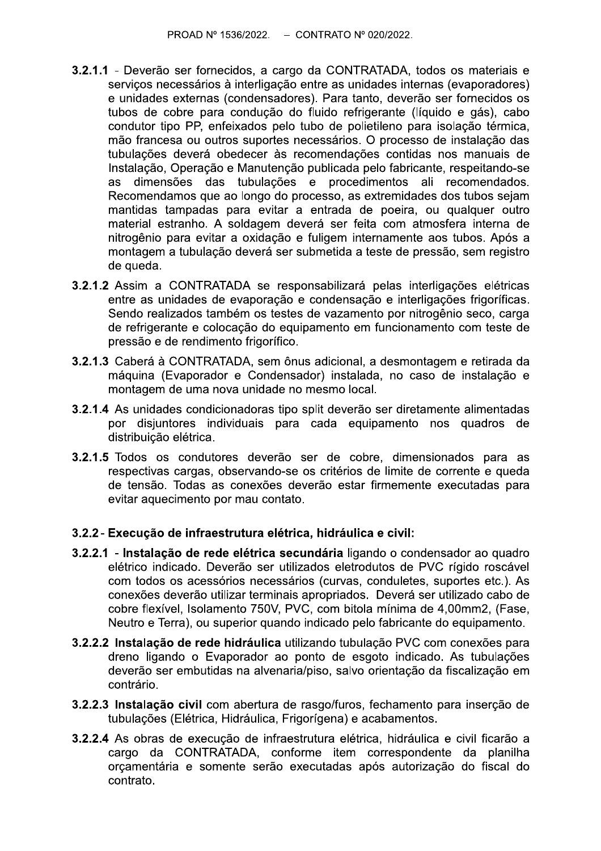- 3.2.1.1 Deverão ser fornecidos, a cargo da CONTRATADA, todos os materiais e servicos necessários à interligação entre as unidades internas (evaporadores) e unidades externas (condensadores). Para tanto, deverão ser fornecidos os tubos de cobre para condução do fluido refrigerante (líquido e gás), cabo condutor tipo PP, enfeixados pelo tubo de polietileno para isolação térmica, mão francesa ou outros suportes necessários. O processo de instalação das tubulações deverá obedecer às recomendações contidas nos manuais de Instalação, Operação e Manutenção publicada pelo fabricante, respeitando-se dimensões das tubulações e procedimentos ali recomendados. **as** Recomendamos que ao longo do processo, as extremidades dos tubos sejam mantidas tampadas para evitar a entrada de poeira, ou qualquer outro material estranho. A soldagem deverá ser feita com atmosfera interna de nitrogênio para evitar a oxidação e fuligem internamente aos tubos. Após a montagem a tubulação deverá ser submetida a teste de pressão, sem registro de queda.
- 3.2.1.2 Assim a CONTRATADA se responsabilizará pelas interligações elétricas entre as unidades de evaporação e condensação e interligações frigoríficas. Sendo realizados também os testes de vazamento por nitrogênio seco, carga de refrigerante e colocação do equipamento em funcionamento com teste de pressão e de rendimento frigorífico.
- 3.2.1.3 Caberá à CONTRATADA, sem ônus adicional, a desmontagem e retirada da máquina (Evaporador e Condensador) instalada, no caso de instalação e montagem de uma nova unidade no mesmo local.
- 3.2.1.4 As unidades condicionadoras tipo split deverão ser diretamente alimentadas por disjuntores individuais para cada equipamento nos quadros de distribuicão elétrica.
- 3.2.1.5 Todos os condutores deverão ser de cobre, dimensionados para as respectivas cargas, observando-se os critérios de limite de corrente e queda de tensão. Todas as conexões deverão estar firmemente executadas para evitar aquecimento por mau contato.

#### 3.2.2 - Execução de infraestrutura elétrica, hidráulica e civil:

- 3.2.2.1 Instalação de rede elétrica secundária ligando o condensador ao quadro elétrico indicado. Deverão ser utilizados eletrodutos de PVC rígido roscável com todos os acessórios necessários (curvas, conduletes, suportes etc.). As conexões deverão utilizar terminais apropriados. Deverá ser utilizado cabo de cobre flexível, Isolamento 750V, PVC, com bitola mínima de 4,00mm2, (Fase, Neutro e Terra), ou superior quando indicado pelo fabricante do equipamento.
- 3.2.2.2 Instalação de rede hidráulica utilizando tubulação PVC com conexões para dreno ligando o Evaporador ao ponto de esgoto indicado. As tubulações deverão ser embutidas na alvenaria/piso, salvo orientação da fiscalização em contrário.
- 3.2.2.3 Instalação civil com abertura de rasgo/furos, fechamento para inserção de tubulações (Elétrica, Hidráulica, Frigorígena) e acabamentos.
- 3.2.2.4 As obras de execução de infraestrutura elétrica, hidráulica e civil ficarão a cargo da CONTRATADA, conforme item correspondente da planilha orçamentária e somente serão executadas após autorização do fiscal do contrato.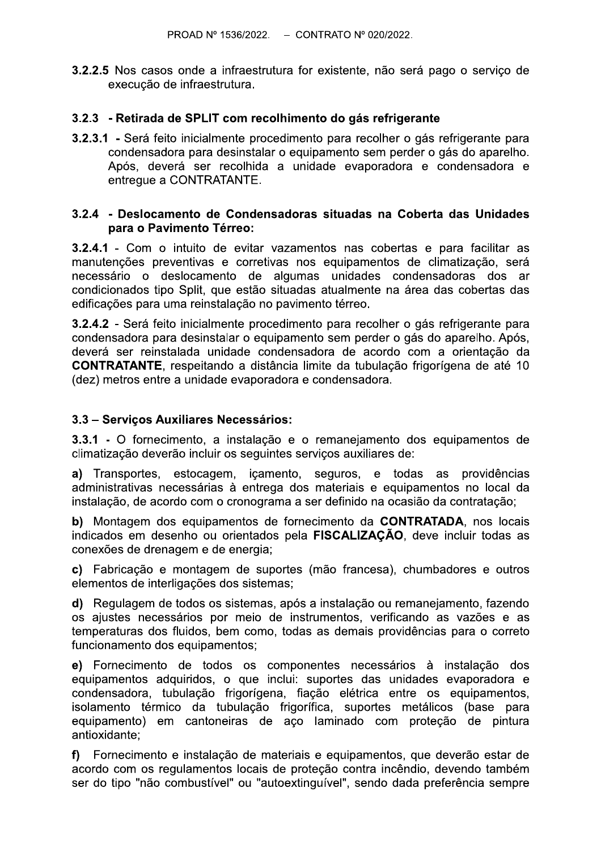**3.2.2.5** Nos casos onde a infraestrutura for existente, não será pago o servico de execução de infraestrutura.

#### 3.2.3 - Retirada de SPLIT com recolhimento do gás refrigerante

3.2.3.1 - Será feito inicialmente procedimento para recolher o gás refrigerante para condensadora para desinstalar o equipamento sem perder o gás do aparelho. Após, deverá ser recolhida a unidade evaporadora e condensadora e entregue a CONTRATANTE.

#### 3.2.4 - Deslocamento de Condensadoras situadas na Coberta das Unidades para o Pavimento Térreo:

3.2.4.1 - Com o intuito de evitar vazamentos nas cobertas e para facilitar as manutenções preventivas e corretivas nos equipamentos de climatização, será necessário o deslocamento de algumas unidades condensadoras dos ar condicionados tipo Split, que estão situadas atualmente na área das cobertas das edificações para uma reinstalação no pavimento térreo.

3.2.4.2 - Será feito inicialmente procedimento para recolher o gás refrigerante para condensadora para desinstalar o equipamento sem perder o gás do aparelho. Após, deverá ser reinstalada unidade condensadora de acordo com a orientação da **CONTRATANTE**, respeitando a distância limite da tubulação frigorígena de até 10 (dez) metros entre a unidade evaporadora e condensadora.

#### 3.3 - Servicos Auxiliares Necessários:

3.3.1 - O fornecimento, a instalação e o remaneiamento dos equipamentos de climatização deverão incluir os seguintes serviços auxiliares de:

a) Transportes, estocagem, icamento, seguros, e todas as providências administrativas necessárias à entrega dos materiais e equipamentos no local da instalação, de acordo com o cronograma a ser definido na ocasião da contratação;

b) Montagem dos equipamentos de fornecimento da CONTRATADA, nos locais indicados em desenho ou orientados pela FISCALIZAÇÃO, deve incluir todas as conexões de drenagem e de energia;

c) Fabricação e montagem de suportes (mão francesa), chumbadores e outros elementos de interligações dos sistemas;

d) Regulagem de todos os sistemas, após a instalação ou remanejamento, fazendo os ajustes necessários por meio de instrumentos, verificando as vazões e as temperaturas dos fluidos, bem como, todas as demais providências para o correto funcionamento dos equipamentos;

e) Fornecimento de todos os componentes necessários à instalação dos equipamentos adquiridos, o que inclui: suportes das unidades evaporadora e condensadora, tubulação frigorígena, fiação elétrica entre os equipamentos, isolamento térmico da tubulação frigorífica, suportes metálicos (base para equipamento) em cantoneiras de aço laminado com proteção de pintura antioxidante;

Fornecimento e instalação de materiais e equipamentos, que deverão estar de f) acordo com os regulamentos locais de proteção contra incêndio, devendo também ser do tipo "não combustível" ou "autoextinguível", sendo dada preferência sempre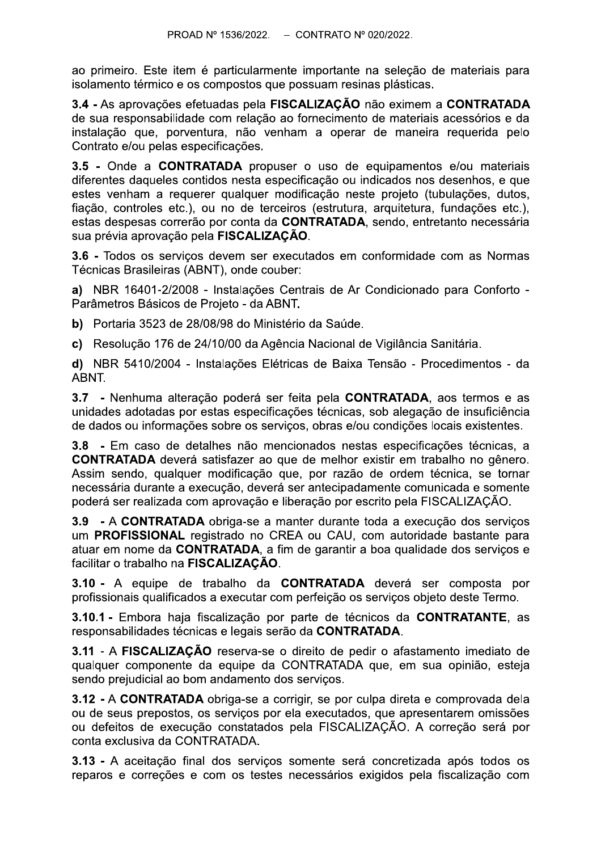ao primeiro. Este item é particularmente importante na selecão de materiais para isolamento térmico e os compostos que possuam resinas plásticas.

3.4 - As aprovações efetuadas pela FISCALIZAÇÃO não eximem a CONTRATADA de sua responsabilidade com relação ao fornecimento de materiais acessórios e da instalação que, porventura, não venham a operar de maneira requerida pelo Contrato e/ou pelas especificações.

3.5 - Onde a CONTRATADA propuser o uso de equipamentos e/ou materiais diferentes daqueles contidos nesta especificação ou indicados nos desenhos, e que estes venham a requerer qualquer modificação neste projeto (tubulações, dutos, fiação, controles etc.), ou no de terceiros (estrutura, arquitetura, fundações etc.), estas despesas correrão por conta da CONTRATADA, sendo, entretanto necessária sua prévia aprovação pela FISCALIZAÇÃO.

3.6 - Todos os serviços devem ser executados em conformidade com as Normas Técnicas Brasileiras (ABNT), onde couber:

a) NBR 16401-2/2008 - Instalações Centrais de Ar Condicionado para Conforto -Parâmetros Básicos de Projeto - da ABNT.

b) Portaria 3523 de 28/08/98 do Ministério da Saúde.

c) Resolução 176 de 24/10/00 da Agência Nacional de Vigilância Sanitária.

d) NBR 5410/2004 - Instalações Elétricas de Baixa Tensão - Procedimentos - da ABNT.

3.7 - Nenhuma alteração poderá ser feita pela CONTRATADA, aos termos e as unidades adotadas por estas especificações técnicas, sob alegação de insuficiência de dados ou informações sobre os serviços, obras e/ou condições locais existentes.

3.8 - Em caso de detalhes não mencionados nestas especificações técnicas, a **CONTRATADA** deverá satisfazer ao que de melhor existir em trabalho no gênero. Assim sendo, qualquer modificação que, por razão de ordem técnica, se tornar necessária durante a execução, deverá ser antecipadamente comunicada e somente poderá ser realizada com aprovação e liberação por escrito pela FISCALIZAÇÃO.

3.9 - A CONTRATADA obriga-se a manter durante toda a execução dos servicos um PROFISSIONAL registrado no CREA ou CAU, com autoridade bastante para atuar em nome da CONTRATADA, a fim de garantir a boa qualidade dos servicos e facilitar o trabalho na FISCALIZAÇÃO.

3.10 - A equipe de trabalho da CONTRATADA deverá ser composta por profissionais qualificados a executar com perfeição os serviços objeto deste Termo.

3.10.1 - Embora haja fiscalização por parte de técnicos da CONTRATANTE, as responsabilidades técnicas e legais serão da CONTRATADA.

3.11 - A FISCALIZAÇÃO reserva-se o direito de pedir o afastamento imediato de qualquer componente da equipe da CONTRATADA que, em sua opinião, esteja sendo prejudicial ao bom andamento dos serviços.

3.12 - A CONTRATADA obriga-se a corrigir, se por culpa direta e comprovada dela ou de seus prepostos, os serviços por ela executados, que apresentarem omissões ou defeitos de execução constatados pela FISCALIZAÇÃO. A correção será por conta exclusiva da CONTRATADA.

3.13 - A aceitação final dos serviços somente será concretizada após todos os reparos e correções e com os testes necessários exigidos pela fiscalização com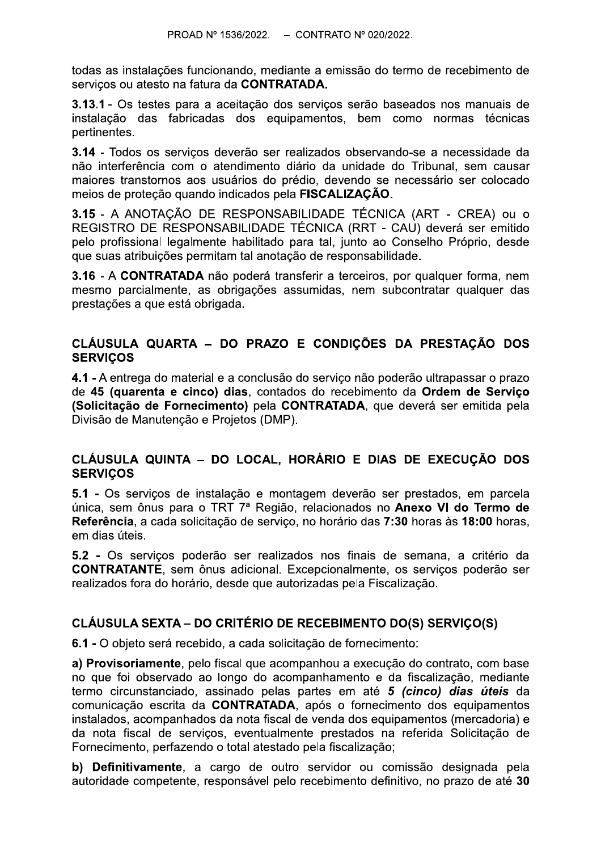todas as instalações funcionando, mediante a emissão do termo de recebimento de servicos ou atesto na fatura da CONTRATADA.

3.13.1 - Os testes para a aceitação dos serviços serão baseados nos manuais de instalação das fabricadas dos equipamentos, bem como normas técnicas pertinentes.

3.14 - Todos os servicos deverão ser realizados observando-se a necessidade da não interferência com o atendimento diário da unidade do Tribunal, sem causar maiores transtornos aos usuários do prédio, devendo se necessário ser colocado meios de proteção quando indicados pela FISCALIZAÇÃO.

3.15 - A ANOTAÇÃO DE RESPONSABILIDADE TÉCNICA (ART - CREA) ou o REGISTRO DE RESPONSABILIDADE TÉCNICA (RRT - CAU) deverá ser emitido pelo profissional legalmente habilitado para tal, junto ao Conselho Próprio, desde que suas atribuições permitam tal anotação de responsabilidade.

3.16 - A CONTRATADA não poderá transferir a terceiros, por qualquer forma, nem mesmo parcialmente, as obrigações assumidas, nem subcontratar qualquer das prestações a que está obrigada.

## CLÁUSULA QUARTA - DO PRAZO E CONDIÇÕES DA PRESTAÇÃO DOS **SERVIÇOS**

4.1 - A entrega do material e a conclusão do servico não poderão ultrapassar o prazo de 45 (quarenta e cinco) dias, contados do recebimento da Ordem de Servico (Solicitação de Fornecimento) pela CONTRATADA, que deverá ser emitida pela Divisão de Manutenção e Projetos (DMP).

## CLÁUSULA QUINTA - DO LOCAL, HORÁRIO E DIAS DE EXECUÇÃO DOS **SERVICOS**

5.1 - Os serviços de instalação e montagem deverão ser prestados, em parcela única, sem ônus para o TRT 7ª Região, relacionados no Anexo VI do Termo de Referência, a cada solicitação de serviço, no horário das 7:30 horas às 18:00 horas, em dias úteis.

5.2 - Os servicos poderão ser realizados nos finais de semana, a critério da **CONTRATANTE**, sem ônus adicional. Excepcionalmente, os serviços poderão ser realizados fora do horário, desde que autorizadas pela Fiscalização.

## CLÁUSULA SEXTA – DO CRITÉRIO DE RECEBIMENTO DO(S) SERVIÇO(S)

6.1 - O objeto será recebido, a cada solicitação de fornecimento:

a) Provisoriamente, pelo fiscal que acompanhou a execução do contrato, com base no que foi observado ao longo do acompanhamento e da fiscalização, mediante termo circunstanciado, assinado pelas partes em até 5 (cinco) dias úteis da comunicação escrita da CONTRATADA, após o fornecimento dos equipamentos instalados, acompanhados da nota fiscal de venda dos equipamentos (mercadoria) e da nota fiscal de serviços, eventualmente prestados na referida Solicitação de Fornecimento, perfazendo o total atestado pela fiscalização;

b) Definitivamente, a cargo de outro servidor ou comissão designada pela autoridade competente, responsável pelo recebimento definitivo, no prazo de até 30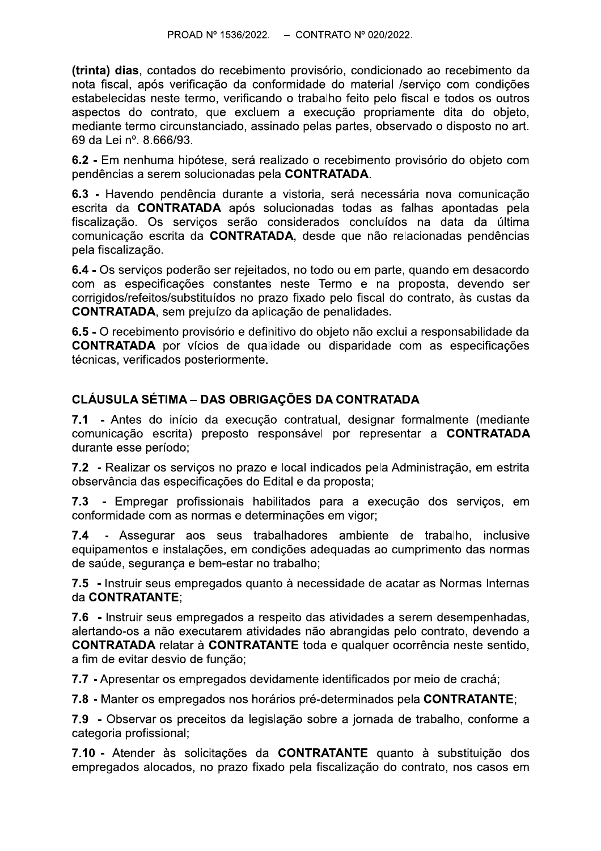(trinta) dias, contados do recebimento provisório, condicionado ao recebimento da nota fiscal, após verificação da conformidade do material /servico com condições estabelecidas neste termo, verificando o trabalho feito pelo fiscal e todos os outros aspectos do contrato, que excluem a execução propriamente dita do objeto, mediante termo circunstanciado, assinado pelas partes, observado o disposto no art. 69 da Lei nº. 8.666/93.

6.2 - Em nenhuma hipótese, será realizado o recebimento provisório do objeto com pendências a serem solucionadas pela CONTRATADA.

6.3 - Havendo pendência durante a vistoria, será necessária nova comunicação escrita da **CONTRATADA** após solucionadas todas as falhas apontadas pela fiscalização. Os serviços serão considerados concluídos na data da última comunicação escrita da CONTRATADA, desde que não relacionadas pendências pela fiscalização.

6.4 - Os serviços poderão ser rejeitados, no todo ou em parte, quando em desacordo com as especificações constantes neste Termo e na proposta, devendo ser corrigidos/refeitos/substituídos no prazo fixado pelo fiscal do contrato, às custas da **CONTRATADA, sem prejuízo da aplicação de penalidades.** 

6.5 - O recebimento provisório e definitivo do objeto não exclui a responsabilidade da **CONTRATADA** por vícios de qualidade ou disparidade com as especificações técnicas, verificados posteriormente.

# **CLÁUSULA SÉTIMA - DAS OBRIGAÇÕES DA CONTRATADA**

7.1 - Antes do início da execução contratual, designar formalmente (mediante comunicação escrita) preposto responsável por representar a CONTRATADA durante esse período;

7.2 - Realizar os serviços no prazo e local indicados pela Administração, em estrita observância das especificações do Edital e da proposta:

7.3 - Empregar profissionais habilitados para a execução dos serviços, em conformidade com as normas e determinações em vigor:

 $7.4$ - Assegurar aos seus trabalhadores ambiente de trabalho, inclusive equipamentos e instalações, em condições adequadas ao cumprimento das normas de saúde, segurança e bem-estar no trabalho;

7.5 - Instruir seus empregados quanto à necessidade de acatar as Normas Internas da CONTRATANTE:

7.6 - Instruir seus empregados a respeito das atividades a serem desempenhadas, alertando-os a não executarem atividades não abrangidas pelo contrato, devendo a **CONTRATADA** relatar à CONTRATANTE toda e qualquer ocorrência neste sentido, a fim de evitar desvio de função;

7.7 - Apresentar os empregados devidamente identificados por meio de crachá;

7.8 - Manter os empregados nos horários pré-determinados pela CONTRATANTE;

7.9 - Observar os preceitos da legislação sobre a jornada de trabalho, conforme a categoria profissional;

7.10 - Atender às solicitações da CONTRATANTE quanto à substituicão dos empregados alocados, no prazo fixado pela fiscalização do contrato, nos casos em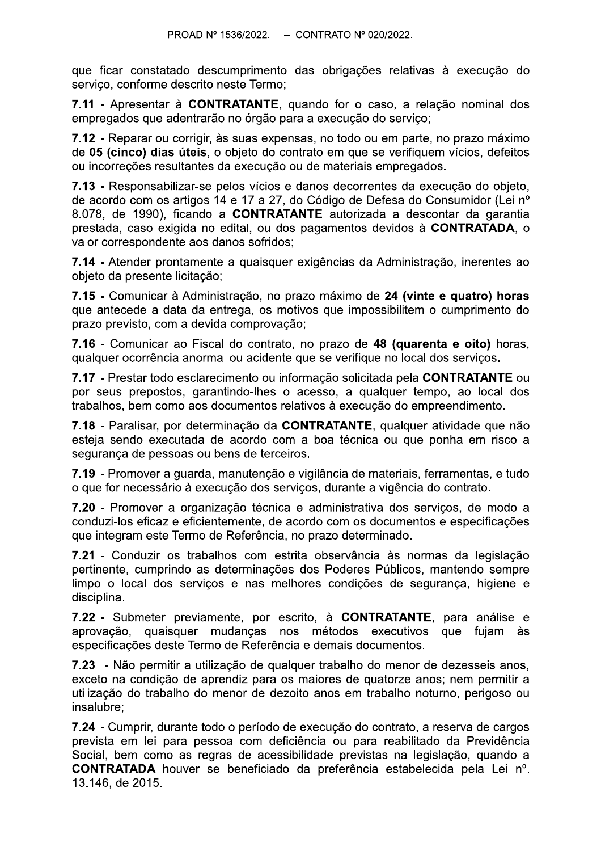que ficar constatado descumprimento das obrigações relativas à execução do servico, conforme descrito neste Termo:

7.11 - Apresentar à CONTRATANTE, quando for o caso, a relação nominal dos empregados que adentrarão no órgão para a execução do servico:

7.12 - Reparar ou corrigir, às suas expensas, no todo ou em parte, no prazo máximo de 05 (cinco) dias úteis, o objeto do contrato em que se verifiquem vícios, defeitos ou incorreções resultantes da execução ou de materiais empregados.

7.13 - Responsabilizar-se pelos vícios e danos decorrentes da execução do objeto. de acordo com os artigos 14 e 17 a 27, do Código de Defesa do Consumidor (Lei nº 8.078, de 1990), ficando a CONTRATANTE autorizada a descontar da garantia prestada, caso exigida no edital, ou dos pagamentos devidos à CONTRATADA, o valor correspondente aos danos sofridos;

7.14 - Atender prontamente a quaisquer exigências da Administração, inerentes ao objeto da presente licitação;

7.15 - Comunicar à Administração, no prazo máximo de 24 (vinte e quatro) horas que antecede a data da entrega, os motivos que impossibilitem o cumprimento do prazo previsto, com a devida comprovação;

7.16 - Comunicar ao Fiscal do contrato, no prazo de 48 (quarenta e oito) horas, qualquer ocorrência anormal ou acidente que se verifique no local dos serviços.

7.17 - Prestar todo esclarecimento ou informação solicitada pela CONTRATANTE ou por seus prepostos, garantindo-lhes o acesso, a qualquer tempo, ao local dos trabalhos, bem como aos documentos relativos à execução do empreendimento.

7.18 - Paralisar, por determinação da CONTRATANTE, qualquer atividade que não esteja sendo executada de acordo com a boa técnica ou que ponha em risco a segurança de pessoas ou bens de terceiros.

7.19 - Promover a guarda, manutencão e vigilância de materiais, ferramentas, e tudo o que for necessário à execução dos serviços, durante a vigência do contrato.

7.20 - Promover a organização técnica e administrativa dos servicos, de modo a conduzi-los eficaz e eficientemente, de acordo com os documentos e especificações que integram este Termo de Referência, no prazo determinado.

7.21 - Conduzir os trabalhos com estrita observância às normas da legislação pertinente, cumprindo as determinações dos Poderes Públicos, mantendo sempre limpo o local dos serviços e nas melhores condições de segurança, higiene e disciplina.

7.22 - Submeter previamente, por escrito, à CONTRATANTE, para análise e aprovação, quaisquer mudanças nos métodos executivos que fujam às especificações deste Termo de Referência e demais documentos.

7.23 - Não permitir a utilização de qualquer trabalho do menor de dezesseis anos, exceto na condição de aprendiz para os maiores de quatorze anos; nem permitir a utilização do trabalho do menor de dezoito anos em trabalho noturno, perigoso ou insalubre:

7.24 - Cumprir, durante todo o período de execução do contrato, a reserva de cargos prevista em lei para pessoa com deficiência ou para reabilitado da Previdência Social, bem como as regras de acessibilidade previstas na legislação, quando a **CONTRATADA** houver se beneficiado da preferência estabelecida pela Lei nº. 13.146, de 2015.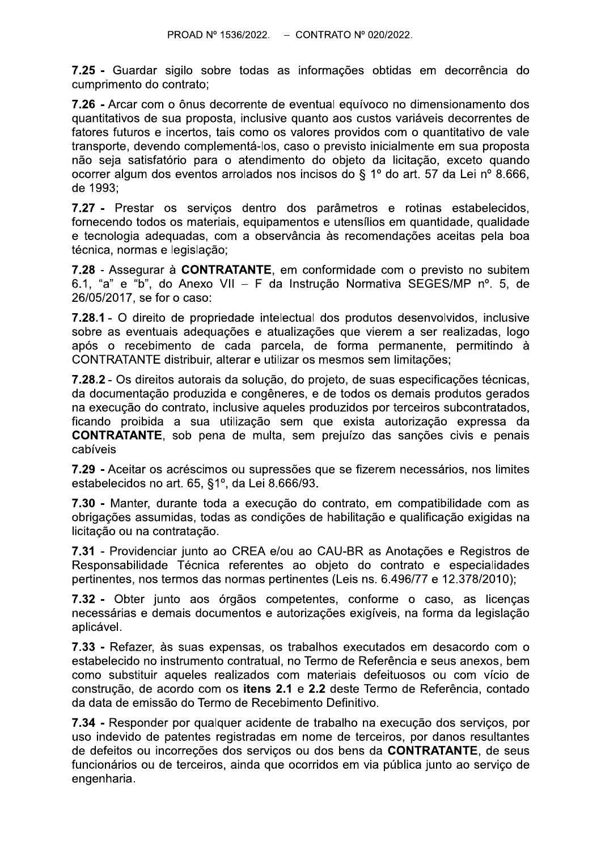7.25 - Guardar sigilo sobre todas as informações obtidas em decorrência do cumprimento do contrato:

7.26 - Arcar com o ônus decorrente de eventual equívoco no dimensionamento dos quantitativos de sua proposta, inclusive quanto aos custos variáveis decorrentes de fatores futuros e incertos, tais como os valores providos com o quantitativo de vale transporte, devendo complementá-los, caso o previsto inicialmente em sua proposta não seja satisfatório para o atendimento do objeto da licitação, exceto quando ocorrer algum dos eventos arrolados nos incisos do § 1º do art. 57 da Lei nº 8.666, de 1993:

7.27 - Prestar os serviços dentro dos parâmetros e rotinas estabelecidos, fornecendo todos os materiais, equipamentos e utensílios em quantidade, qualidade e tecnologia adequadas, com a observância às recomendações aceitas pela boa técnica, normas e legislação;

7.28 - Assegurar à CONTRATANTE, em conformidade com o previsto no subitem 6.1, "a" e "b", do Anexo VII - F da Instrução Normativa SEGES/MP nº. 5, de 26/05/2017, se for o caso:

7.28.1 - O direito de propriedade intelectual dos produtos desenvolvidos, inclusive sobre as eventuais adequações e atualizações que vierem a ser realizadas, logo após o recebimento de cada parcela, de forma permanente, permitindo à CONTRATANTE distribuir, alterar e utilizar os mesmos sem limitações;

7.28.2 - Os direitos autorais da solução, do projeto, de suas especificações técnicas, da documentação produzida e congêneres, e de todos os demais produtos gerados na execução do contrato, inclusive aqueles produzidos por terceiros subcontratados, ficando proibida a sua utilização sem que exista autorização expressa da **CONTRATANTE**, sob pena de multa, sem prejuízo das sanções civis e penais cabíveis

7.29 - Aceitar os acréscimos ou supressões que se fizerem necessários, nos limites estabelecidos no art. 65, §1°, da Lei 8.666/93.

7.30 - Manter, durante toda a execução do contrato, em compatibilidade com as obrigações assumidas, todas as condições de habilitação e qualificação exigidas na licitação ou na contratação.

7.31 - Providenciar junto ao CREA e/ou ao CAU-BR as Anotações e Registros de Responsabilidade Técnica referentes ao objeto do contrato e especialidades pertinentes, nos termos das normas pertinentes (Leis ns. 6.496/77 e 12.378/2010);

7.32 - Obter junto aos órgãos competentes, conforme o caso, as licenças necessárias e demais documentos e autorizações exigíveis, na forma da legislação aplicável.

7.33 - Refazer, às suas expensas, os trabalhos executados em desacordo com o estabelecido no instrumento contratual, no Termo de Referência e seus anexos, bem como substituir aqueles realizados com materiais defeituosos ou com vício de construção, de acordo com os itens 2.1 e 2.2 deste Termo de Referência, contado da data de emissão do Termo de Recebimento Definitivo.

7.34 - Responder por qualquer acidente de trabalho na execução dos serviços, por uso indevido de patentes registradas em nome de terceiros, por danos resultantes de defeitos ou incorreções dos serviços ou dos bens da CONTRATANTE, de seus funcionários ou de terceiros, ainda que ocorridos em via pública junto ao serviço de engenharia.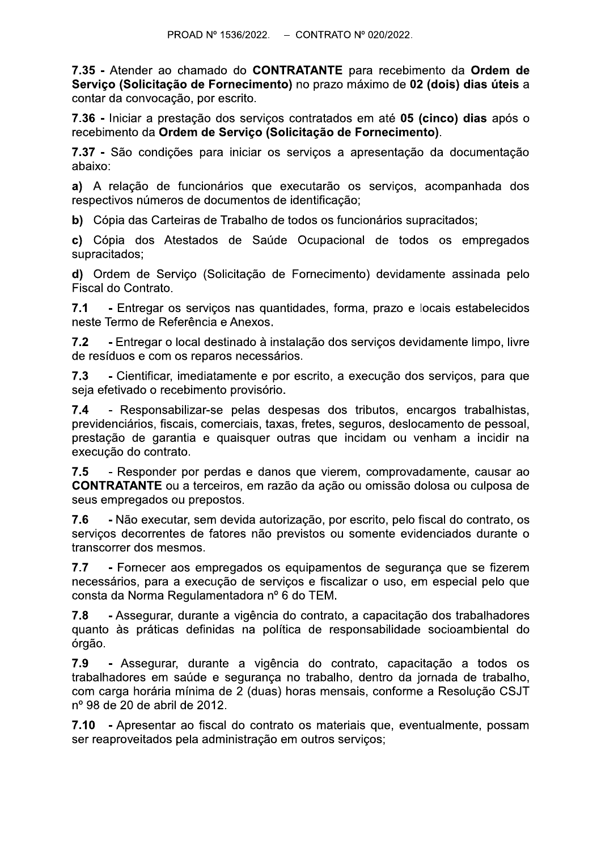PROAD Nº 1536/2022. – CONTRATANTE para recebimento da Ordem de<br>Serviço (Solicitação de Fornecimento) no prazo máximo de 02 (dois) dias úteis a<br>contar da convocação, por escrito.<br>7.36 - Iniciar a prestação dos serviços cont

respectivos números de documentos de identificação;

b) Cópia das Carteiras de Trabalho de todos os funcionários supracitados;

**c)** Copia dos Atestados de Saude Ocupacional de todos os empregados supracitados;

**d**) Ordem de Serviço (Solicitação de Fornecimento) devidamente assinada pelo Fiscal do Contrato.

7.1 - Entregar os serviços nas quantidades, forma, prazo e locais estabelecidos neste Termo de Referência e Anexos.

7.2 - Entregar o local destinado à instalação dos serviços devidamente limpo, livre de resíduos e com os reparos necessários.

7.3 - Cientificar, imediatamente e por escrito, a execução dos serviços, para que seja efetivado o recebimento provisório.

7.4 - Responsabilizar-se pelas despesas dos tributos, encargos trabalhistas, previdenciários, fiscais, comerciais, taxas, fretes, seguros, deslocamento de pessoal, prestação de garantia e quaisquer outras que incidam ou venham a incidir na execução do contrato. **7.3** - Cientificar, imediatamente e por escrito, a execução dos serviços, para que seja efetivado o recebimento provisório.<br> **7.4** - Responsabilizar-se pelas despessas dos tributos, encargos trabalhistas, previdenciários,

7.8 - Assegurar, durante a vigência do contrato, a capacitação dos trabalhadores guanto às práticas definidas na política de responsabilidade socioambiental do órgão.

7.9 - Assegurar, durante a vigência do contrato, capacitação a todos os trabalhadores em saúde e seguranca no trabalho, dentro da jornada de trabalho, com carga horária mínima de 2 (duas) horas mensais, conforme a Resolução CSJT nº 98 de 20 de abril de 2012.

7.10 - Apresentar ao fiscal do contrato os materiais que, eventualmente, possam ser reaproveitados pela administração em outros serviços;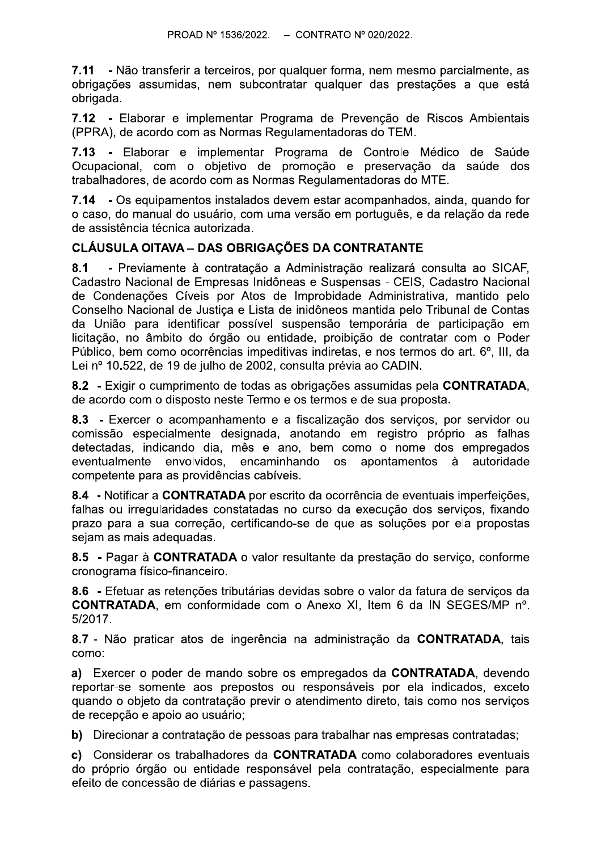7.11 - Não transferir a terceiros, por qualquer forma, nem mesmo parcialmente, as obrigações assumidas, nem subcontratar qualquer das prestações a que está obrigada.

7.12 - Elaborar e implementar Programa de Prevenção de Riscos Ambientais (PPRA), de acordo com as Normas Regulamentadoras do TEM.

7.13 - Elaborar e implementar Programa de Controle Médico de Saúde Ocupacional, com o objetivo de promoção e preservação da saúde dos trabalhadores, de acordo com as Normas Regulamentadoras do MTE.

7.14 - Os equipamentos instalados devem estar acompanhados, ainda, quando for o caso, do manual do usuário, com uma versão em português, e da relação da rede de assistência técnica autorizada.

## **CLÁUSULA OITAVA - DAS OBRIGAÇÕES DA CONTRATANTE**

- Previamente à contratação a Administração realizará consulta ao SICAF.  $8.1$ Cadastro Nacional de Empresas Inidôneas e Suspensas - CEIS, Cadastro Nacional de Condenações Cíveis por Atos de Improbidade Administrativa, mantido pelo Conselho Nacional de Justiça e Lista de inidôneos mantida pelo Tribunal de Contas da União para identificar possível suspensão temporária de participação em licitação, no âmbito do órgão ou entidade, proibição de contratar com o Poder Público, bem como ocorrências impeditivas indiretas, e nos termos do art. 6°, III, da Lei nº 10.522, de 19 de julho de 2002, consulta prévia ao CADIN.

8.2 - Exigir o cumprimento de todas as obrigações assumidas pela CONTRATADA. de acordo com o disposto neste Termo e os termos e de sua proposta.

8.3 - Exercer o acompanhamento e a fiscalização dos servicos, por servidor ou comissão especialmente designada, anotando em registro próprio as falhas detectadas, indicando dia, mês e ano, bem como o nome dos empregados eventualmente envolvidos. encaminhando os apontamentos à autoridade competente para as providências cabíveis.

8.4 - Notificar a CONTRATADA por escrito da ocorrência de eventuais imperfeições. falhas ou irregularidades constatadas no curso da execução dos serviços, fixando prazo para a sua correção, certificando-se de que as soluções por ela propostas sejam as mais adequadas.

8.5 - Pagar à CONTRATADA o valor resultante da prestação do serviço, conforme cronograma físico-financeiro.

8.6 - Efetuar as retenções tributárias devidas sobre o valor da fatura de serviços da **CONTRATADA, em conformidade com o Anexo XI, Item 6 da IN SEGES/MP nº.** 5/2017.

8.7 - Não praticar atos de ingerência na administração da CONTRATADA, tais como:

a) Exercer o poder de mando sobre os empregados da CONTRATADA, devendo reportar-se somente aos prepostos ou responsáveis por ela indicados, exceto quando o objeto da contratação previr o atendimento direto, tais como nos serviços de recepção e apoio ao usuário;

b) Direcionar a contratação de pessoas para trabalhar nas empresas contratadas;

c) Considerar os trabalhadores da CONTRATADA como colaboradores eventuais do próprio órgão ou entidade responsável pela contratação, especialmente para efeito de concessão de diárias e passagens.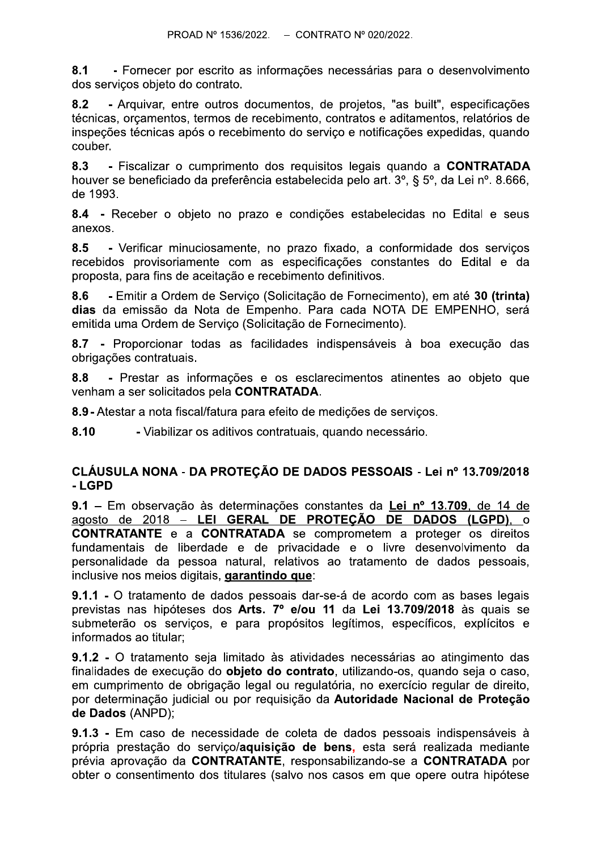$8.1$ - Fornecer por escrito as informações necessárias para o desenvolvimento dos servicos obieto do contrato.

 $8.2$ - Arguivar, entre outros documentos, de projetos, "as built", especificações técnicas, orcamentos, termos de recebimento, contratos e aditamentos, relatórios de inspeções técnicas após o recebimento do serviço e notificações expedidas, quando couber.

- Fiscalizar o cumprimento dos requisitos legais quando a CONTRATADA 8.3 houver se beneficiado da preferência estabelecida pelo art. 3°, § 5°, da Lei nº. 8.666, de 1993.

8.4 - Receber o objeto no prazo e condições estabelecidas no Edital e seus anexos.

8.5 - Verificar minuciosamente, no prazo fixado, a conformidade dos serviços recebidos provisoriamente com as especificações constantes do Edital e da proposta, para fins de aceitação e recebimento definitivos.

 $8.6$ - Emitir a Ordem de Servico (Solicitação de Fornecimento), em até 30 (trinta) dias da emissão da Nota de Empenho. Para cada NOTA DE EMPENHO, será emitida uma Ordem de Serviço (Solicitação de Fornecimento).

8.7 - Proporcionar todas as facilidades indispensáveis à boa execução das obrigações contratuais.

8.8 - Prestar as informações e os esclarecimentos atinentes ao objeto que venham a ser solicitados pela CONTRATADA.

8.9 - Atestar a nota fiscal/fatura para efeito de medições de serviços.

8.10 - Viabilizar os aditivos contratuais, quando necessário.

### CLÁUSULA NONA - DA PROTEÇÃO DE DADOS PESSOAIS - Lei nº 13.709/2018 - LGPD

9.1 - Em observação às determinações constantes da Lei nº 13.709, de 14 de agosto de 2018 – LEI GERAL DE PROTEÇÃO DE DADOS (LGPD), o **CONTRATANTE** e a **CONTRATADA** se comprometem a proteger os direitos fundamentais de liberdade e de privacidade e o livre desenvolvimento da personalidade da pessoa natural, relativos ao tratamento de dados pessoais, inclusive nos meios digitais, garantindo que:

9.1.1 - O tratamento de dados pessoais dar-se-á de acordo com as bases legais previstas nas hipóteses dos Arts. 7º e/ou 11 da Lei 13.709/2018 às quais se submeterão os serviços, e para propósitos legítimos, específicos, explícitos e informados ao titular;

9.1.2 - O tratamento seja limitado às atividades necessárias ao atingimento das finalidades de execução do objeto do contrato, utilizando-os, quando seja o caso, em cumprimento de obrigação legal ou regulatória, no exercício regular de direito, por determinação judicial ou por requisição da Autoridade Nacional de Proteção de Dados (ANPD);

9.1.3 - Em caso de necessidade de coleta de dados pessoais indispensáveis à própria prestação do servico/aquisição de bens, esta será realizada mediante prévia aprovação da CONTRATANTE, responsabilizando-se a CONTRATADA por obter o consentimento dos titulares (salvo nos casos em que opere outra hipótese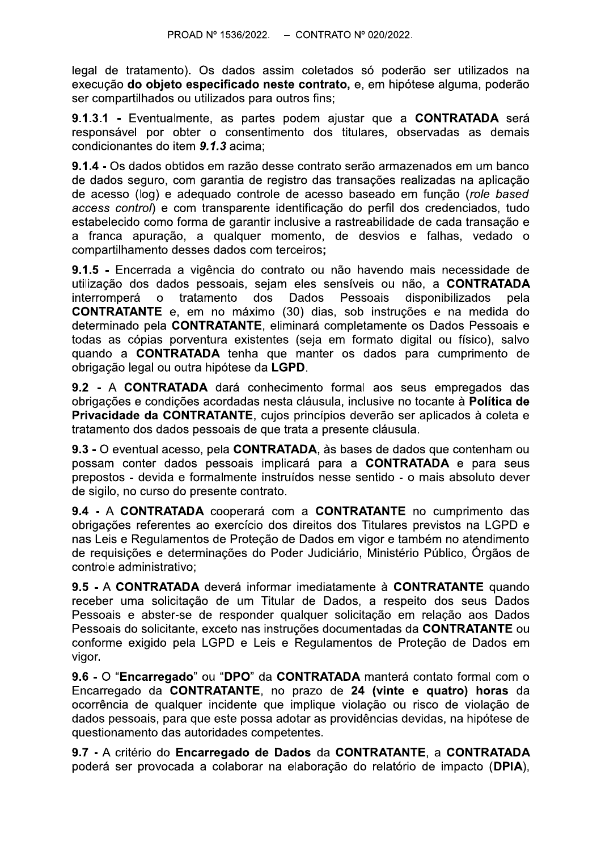legal de tratamento). Os dados assim coletados só poderão ser utilizados na execução do obieto especificado neste contrato, e, em hipótese alguma, poderão ser compartilhados ou utilizados para outros fins;

9.1.3.1 - Eventualmente, as partes podem aiustar que a CONTRATADA será responsável por obter o consentimento dos titulares, observadas as demais condicionantes do item 9.1.3 acima:

9.1.4 - Os dados obtidos em razão desse contrato serão armazenados em um banco de dados seguro, com garantia de registro das transações realizadas na aplicação de acesso (log) e adequado controle de acesso baseado em função (role based access control) e com transparente identificação do perfil dos credenciados, tudo estabelecido como forma de garantir inclusive a rastreabilidade de cada transação e a franca apuração, a qualquer momento, de desvios e falhas, vedado o compartilhamento desses dados com terceiros;

9.1.5 - Encerrada a vigência do contrato ou não havendo mais necessidade de utilização dos dados pessoais, sejam eles sensíveis ou não, a CONTRATADA tratamento dos **Dados** Pessoais disponibilizados interromperá  $\Omega$ pela **CONTRATANTE** e, em no máximo (30) dias, sob instruções e na medida do determinado pela CONTRATANTE, eliminará completamente os Dados Pessoais e todas as cópias porventura existentes (seia em formato digital ou físico), salvo quando a **CONTRATADA** tenha que manter os dados para cumprimento de obrigação legal ou outra hipótese da LGPD.

9.2 - A CONTRATADA dará conhecimento formal aos seus empregados das obrigações e condições acordadas nesta cláusula, inclusive no tocante à **Política de** Privacidade da CONTRATANTE, cuios princípios deverão ser aplicados à coleta e tratamento dos dados pessoais de que trata a presente cláusula.

9.3 - O eventual acesso, pela CONTRATADA, às bases de dados que contenham ou possam conter dados pessoais implicará para a CONTRATADA e para seus prepostos - devida e formalmente instruídos nesse sentido - o mais absoluto dever de sigilo, no curso do presente contrato.

9.4 - A CONTRATADA cooperará com a CONTRATANTE no cumprimento das obrigações referentes ao exercício dos direitos dos Titulares previstos na LGPD e nas Leis e Regulamentos de Proteção de Dados em vigor e também no atendimento de requisições e determinações do Poder Judiciário, Ministério Público, Órgãos de controle administrativo:

9.5 - A CONTRATADA deverá informar imediatamente à CONTRATANTE quando receber uma solicitação de um Titular de Dados, a respeito dos seus Dados Pessoais e abster-se de responder qualquer solicitação em relação aos Dados Pessoais do solicitante, exceto nas instruções documentadas da CONTRATANTE ou conforme exigido pela LGPD e Leis e Regulamentos de Proteção de Dados em vigor.

9.6 - O "Encarregado" ou "DPO" da CONTRATADA manterá contato formal com o Encarregado da CONTRATANTE, no prazo de 24 (vinte e quatro) horas da ocorrência de qualquer incidente que implique violação ou risco de violação de dados pessoais, para que este possa adotar as providências devidas, na hipótese de questionamento das autoridades competentes.

9.7 - A critério do Encarregado de Dados da CONTRATANTE, a CONTRATADA poderá ser provocada a colaborar na elaboração do relatório de impacto (DPIA),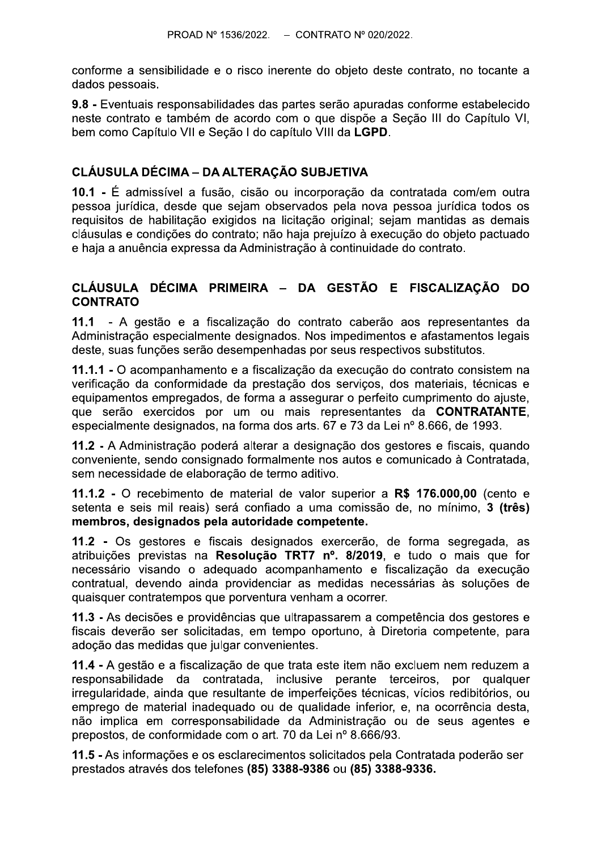conforme a sensibilidade e o risco inerente do objeto deste contrato, no tocante a dados pessoais.

9.8 - Eventuais responsabilidades das partes serão apuradas conforme estabelecido neste contrato e também de acordo com o que dispõe a Secão III do Capítulo VI. bem como Capítulo VII e Seção I do capítulo VIII da LGPD.

## **CLÁUSULA DÉCIMA - DA ALTERAÇÃO SUBJETIVA**

10.1 - É admissível a fusão, cisão ou incorporação da contratada com/em outra pessoa jurídica, desde que sejam observados pela nova pessoa jurídica todos os reguisitos de habilitação exigidos na licitação original; sejam mantidas as demais cláusulas e condições do contrato; não haja prejuízo à execução do objeto pactuado e haja a anuência expressa da Administração à continuidade do contrato.

#### CLÁUSULA DÉCIMA PRIMEIRA - DA GESTÃO E FISCALIZAÇÃO DO **CONTRATO**

11.1 - A gestão e a fiscalização do contrato caberão aos representantes da Administração especialmente designados. Nos impedimentos e afastamentos legais deste, suas funções serão desempenhadas por seus respectivos substitutos.

11.1.1 - O acompanhamento e a fiscalização da execução do contrato consistem na verificação da conformidade da prestação dos serviços, dos materiais, técnicas e equipamentos empregados, de forma a assegurar o perfeito cumprimento do ajuste, que serão exercidos por um ou mais representantes da **CONTRATANTE**, especialmente designados, na forma dos arts. 67 e 73 da Lei nº 8.666, de 1993.

11.2 - A Administração poderá alterar a designação dos gestores e fiscais, quando conveniente, sendo consignado formalmente nos autos e comunicado à Contratada. sem necessidade de elaboração de termo aditivo.

11.1.2 - O recebimento de material de valor superior a R\$ 176.000,00 (cento e setenta e seis mil reais) será confiado a uma comissão de, no mínimo, 3 (três) membros, designados pela autoridade competente.

11.2 - Os gestores e fiscais designados exercerão, de forma segregada, as atribuições previstas na Resolução TRT7 nº. 8/2019, e tudo o mais que for necessário visando o adequado acompanhamento e fiscalização da execução contratual, devendo ainda providenciar as medidas necessárias às soluções de quaisquer contratempos que porventura venham a ocorrer.

11.3 - As decisões e providências que ultrapassarem a competência dos gestores e fiscais deverão ser solicitadas, em tempo oportuno, à Diretoria competente, para adoção das medidas que julgar convenientes.

11.4 - A gestão e a fiscalização de que trata este item não excluem nem reduzem a responsabilidade da contratada, inclusive perante terceiros, por qualquer irregularidade, ainda que resultante de imperfeições técnicas, vícios redibitórios, ou emprego de material inadequado ou de qualidade inferior, e, na ocorrência desta, não implica em corresponsabilidade da Administração ou de seus agentes e prepostos, de conformidade com o art. 70 da Lei nº 8.666/93.

11.5 - As informações e os esclarecimentos solicitados pela Contratada poderão ser prestados através dos telefones (85) 3388-9386 ou (85) 3388-9336.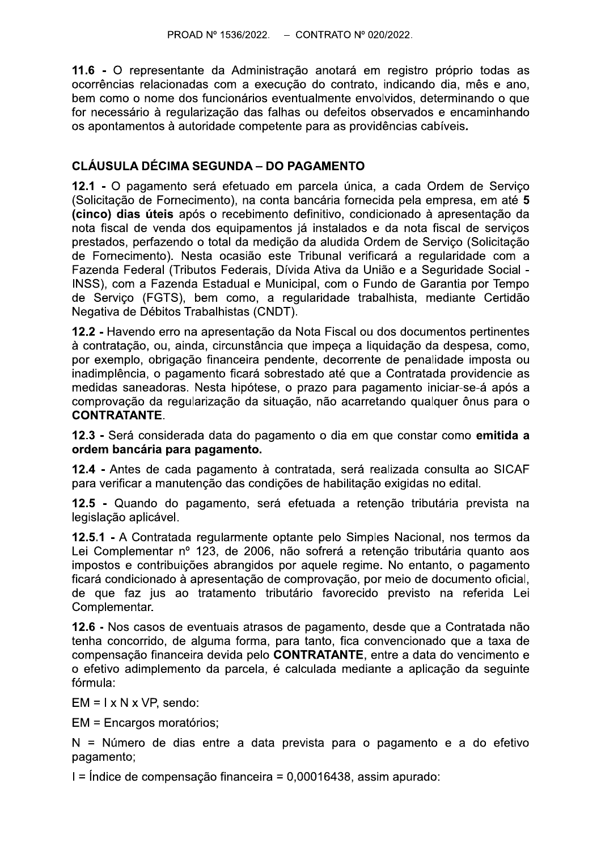11.6 - O representante da Administração anotará em registro próprio todas as ocorrências relacionadas com a execução do contrato, indicando dia, mês e ano, bem como o nome dos funcionários eventualmente envolvidos, determinando o que for necessário à regularização das falhas ou defeitos observados e encaminhando os apontamentos à autoridade competente para as providências cabíveis.

## **CLÁUSULA DÉCIMA SEGUNDA – DO PAGAMENTO**

12.1 - O pagamento será efetuado em parcela única, a cada Ordem de Servico (Solicitação de Fornecimento), na conta bancária fornecida pela empresa, em até 5 (cinco) dias úteis após o recebimento definitivo, condicionado à apresentação da nota fiscal de venda dos equipamentos já instalados e da nota fiscal de servicos prestados, perfazendo o total da medição da aludida Ordem de Serviço (Solicitação de Fornecimento). Nesta ocasião este Tribunal verificará a regularidade com a Fazenda Federal (Tributos Federais, Dívida Ativa da União e a Seguridade Social -INSS), com a Fazenda Estadual e Municipal, com o Fundo de Garantia por Tempo de Servico (FGTS), bem como, a regularidade trabalhista, mediante Certidão Negativa de Débitos Trabalhistas (CNDT).

12.2 - Havendo erro na apresentação da Nota Fiscal ou dos documentos pertinentes à contratação, ou, ainda, circunstância que impeça a liquidação da despesa, como, por exemplo, obrigação financeira pendente, decorrente de penalidade imposta ou inadimplência, o pagamento ficará sobrestado até que a Contratada providencie as medidas saneadoras. Nesta hipótese, o prazo para pagamento iniciar-se-á após a comprovação da regularização da situação, não acarretando qualquer ônus para o **CONTRATANTE.** 

12.3 - Será considerada data do pagamento o dia em que constar como emitida a ordem bancária para pagamento.

12.4 - Antes de cada pagamento à contratada, será realizada consulta ao SICAF para verificar a manutenção das condições de habilitação exigidas no edital.

12.5 - Quando do pagamento, será efetuada a retenção tributária prevista na legislação aplicável.

12.5.1 - A Contratada regularmente optante pelo Simples Nacional, nos termos da Lei Complementar nº 123, de 2006, não sofrerá a retenção tributária quanto aos impostos e contribuições abrangidos por aquele regime. No entanto, o pagamento ficará condicionado à apresentação de comprovação, por meio de documento oficial, de que faz jus ao tratamento tributário favorecido previsto na referida Lei Complementar.

12.6 - Nos casos de eventuais atrasos de pagamento, desde que a Contratada não tenha concorrido, de alguma forma, para tanto, fica convencionado que a taxa de compensação financeira devida pelo CONTRATANTE, entre a data do vencimento e o efetivo adimplemento da parcela, é calculada mediante a aplicação da sequinte fórmula:

 $EM = I \times N \times VP$ . sendo:

EM = Encargos moratórios;

N = Número de dias entre a data prevista para o pagamento e a do efetivo pagamento;

 $I =$ Índice de compensação financeira = 0,00016438, assim apurado: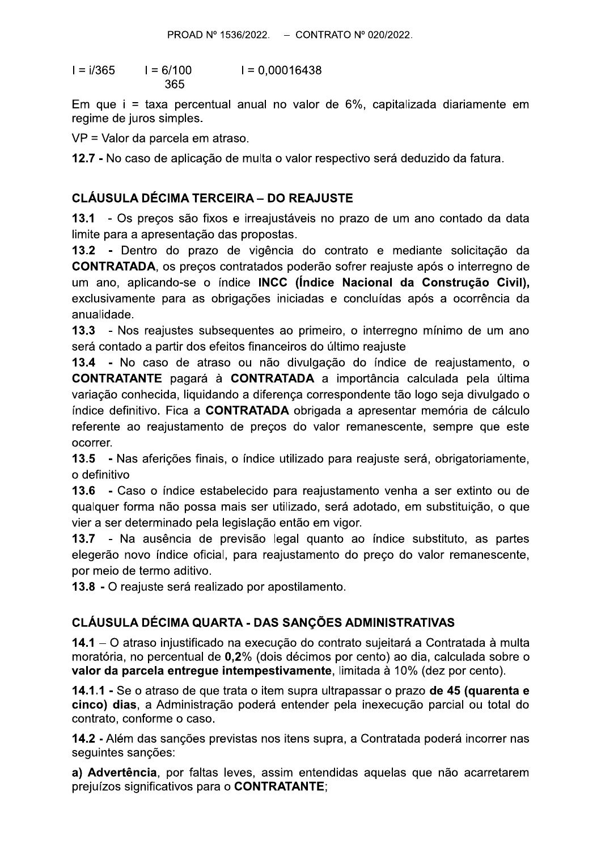$I = i/365$  $I = 0.00016438$  $I = 6/100$ 365

Em que i = taxa percentual anual no valor de 6%, capitalizada diariamente em regime de juros simples.

VP = Valor da parcela em atraso.

12.7 - No caso de aplicação de multa o valor respectivo será deduzido da fatura.

## **CLÁUSULA DÉCIMA TERCEIRA - DO REAJUSTE**

13.1 - Os precos são fixos e irreajustáveis no prazo de um ano contado da data limite para a apresentação das propostas.

13.2 - Dentro do prazo de vigência do contrato e mediante solicitação da **CONTRATADA**, os preços contratados poderão sofrer reajuste após o interregno de um ano, aplicando-se o índice **INCC (Índice Nacional da Construção Civil)**, exclusivamente para as obrigações iniciadas e concluídas após a ocorrência da anualidade.

13.3 - Nos reajustes subsequentes ao primeiro, o interregno mínimo de um ano será contado a partir dos efeitos financeiros do último reajuste

13.4 - No caso de atraso ou não divulgação do índice de reajustamento, o **CONTRATANTE** pagará à **CONTRATADA** a importância calculada pela última variação conhecida, liguidando a diferença correspondente tão logo seja divulgado o índice definitivo. Fica a **CONTRATADA** obrigada a apresentar memória de cálculo referente ao reajustamento de precos do valor remanescente, sempre que este ocorrer.

13.5 - Nas aferições finais, o índice utilizado para reajuste será, obrigatoriamente, o definitivo

13.6 - Caso o índice estabelecido para reajustamento venha a ser extinto ou de qualquer forma não possa mais ser utilizado, será adotado, em substituição, o que vier a ser determinado pela legislação então em vigor.

13.7 - Na ausência de previsão legal quanto ao índice substituto, as partes elegerão novo índice oficial, para reajustamento do preço do valor remanescente, por meio de termo aditivo.

13.8 - O reajuste será realizado por apostilamento.

# CLÁUSULA DÉCIMA QUARTA - DAS SANÇÕES ADMINISTRATIVAS

14.1 – O atraso injustificado na execução do contrato sujeitará a Contratada à multa moratória, no percentual de 0,2% (dois décimos por cento) ao dia, calculada sobre o valor da parcela entreque intempestivamente, limitada à 10% (dez por cento).

14.1.1 - Se o atraso de que trata o item supra ultrapassar o prazo de 45 (quarenta e cinco) dias, a Administração poderá entender pela inexecução parcial ou total do contrato, conforme o caso.

14.2 - Além das sanções previstas nos itens supra, a Contratada poderá incorrer nas seguintes sanções:

a) Advertência, por faltas leves, assim entendidas aquelas que não acarretarem prejuízos significativos para o CONTRATANTE;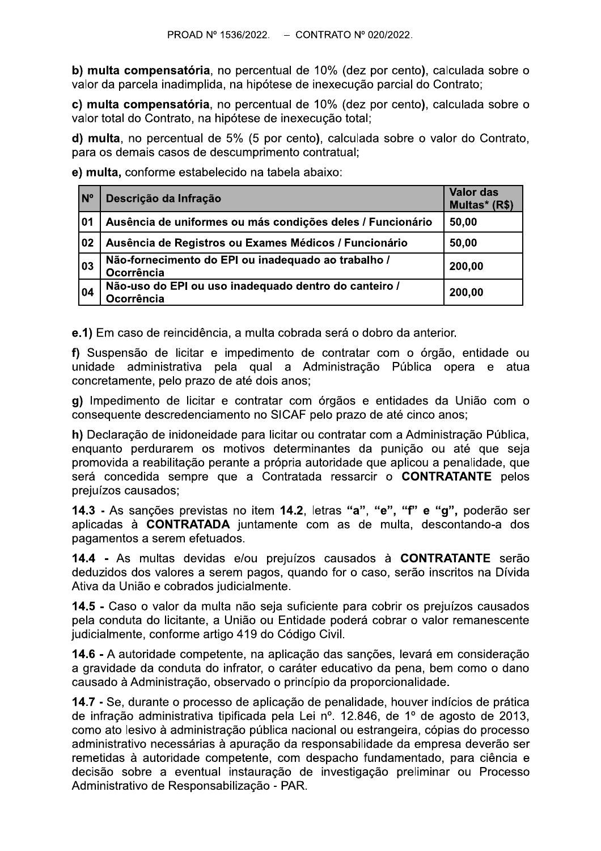b) multa compensatória, no percentual de 10% (dez por cento), calculada sobre o valor da parcela inadimplida, na hipótese de inexecução parcial do Contrato:

c) multa compensatória, no percentual de 10% (dez por cento), calculada sobre o valor total do Contrato, na hipótese de inexecução total;

d) multa, no percentual de 5% (5 por cento), calculada sobre o valor do Contrato, para os demais casos de descumprimento contratual:

e) multa, conforme estabelecido na tabela abaixo:

| N°           | Descrição da Infração                                               | <b>Valor das</b><br>Multas* (R\$) |
|--------------|---------------------------------------------------------------------|-----------------------------------|
| 01           | Ausência de uniformes ou más condições deles / Funcionário          | 50,00                             |
| $ 02\rangle$ | Ausência de Registros ou Exames Médicos / Funcionário               | 50,00                             |
| 03           | Não-fornecimento do EPI ou inadequado ao trabalho /<br>Ocorrência   | 200,00                            |
| 04           | Não-uso do EPI ou uso inadequado dentro do canteiro /<br>Ocorrência | 200,00                            |

e.1) Em caso de reincidência, a multa cobrada será o dobro da anterior.

f) Suspensão de licitar e impedimento de contratar com o órgão, entidade ou unidade administrativa pela qual a Administração Pública opera e atua concretamente, pelo prazo de até dois anos;

g) Impedimento de licitar e contratar com órgãos e entidades da União com o consequente descredenciamento no SICAF pelo prazo de até cinco anos;

h) Declaração de inidoneidade para licitar ou contratar com a Administração Pública, enquanto perdurarem os motivos determinantes da punicão ou até que seja promovida a reabilitação perante a própria autoridade que aplicou a penalidade, que será concedida sempre que a Contratada ressarcir o CONTRATANTE pelos preiuízos causados:

14.3 - As sanções previstas no item 14.2, letras "a", "e", "f" e "g", poderão ser aplicadas à CONTRATADA juntamente com as de multa, descontando-a dos pagamentos a serem efetuados.

14.4 - As multas devidas e/ou prejuízos causados à CONTRATANTE serão deduzidos dos valores a serem pagos, quando for o caso, serão inscritos na Dívida Ativa da União e cobrados judicialmente.

14.5 - Caso o valor da multa não seja suficiente para cobrir os prejuízos causados pela conduta do licitante, a União ou Entidade poderá cobrar o valor remanescente judicialmente, conforme artigo 419 do Código Civil.

14.6 - A autoridade competente, na aplicação das sanções, levará em consideração a gravidade da conduta do infrator, o caráter educativo da pena, bem como o dano causado à Administração, observado o princípio da proporcionalidade.

14.7 - Se, durante o processo de aplicação de penalidade, houver indícios de prática de infração administrativa tipificada pela Lei nº. 12.846, de 1º de agosto de 2013, como ato lesivo à administração pública nacional ou estrangeira, cópias do processo administrativo necessárias à apuração da responsabilidade da empresa deverão ser remetidas à autoridade competente, com despacho fundamentado, para ciência e decisão sobre a eventual instauração de investigação preliminar ou Processo Administrativo de Responsabilização - PAR.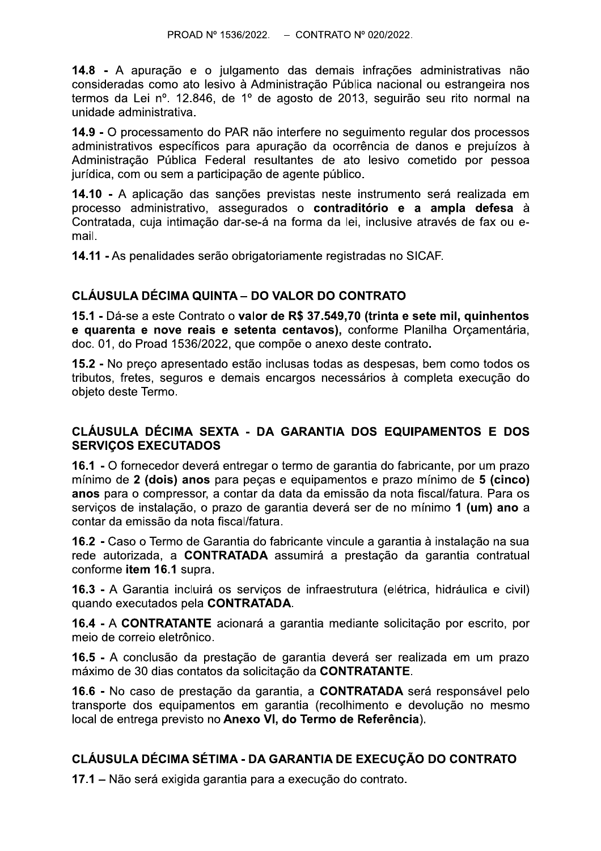14.8 - A apuração e o julgamento das demais infrações administrativas não consideradas como ato lesivo à Administração Pública nacional ou estrangeira nos termos da Lei nº. 12.846, de 1º de agosto de 2013, seguirão seu rito normal na unidade administrativa.

14.9 - O processamento do PAR não interfere no sequimento regular dos processos administrativos específicos para apuração da ocorrência de danos e prejuízos à Administração Pública Federal resultantes de ato lesivo cometido por pessoa jurídica, com ou sem a participação de agente público.

14.10 - A aplicação das sanções previstas neste instrumento será realizada em processo administrativo, assegurados o contraditório e a ampla defesa à Contratada, cuja intimação dar-se-á na forma da lei, inclusive através de fax ou email.

14.11 - As penalidades serão obrigatoriamente registradas no SICAF.

### CLÁUSULA DÉCIMA QUINTA - DO VALOR DO CONTRATO

15.1 - Dá-se a este Contrato o valor de R\$ 37.549.70 (trinta e sete mil, quinhentos e quarenta e nove reais e setenta centavos), conforme Planilha Orçamentária, doc. 01, do Proad 1536/2022, que compõe o anexo deste contrato.

15.2 - No preço apresentado estão inclusas todas as despesas, bem como todos os tributos, fretes, seguros e demais encargos necessários à completa execução do obieto deste Termo.

### CLÁUSULA DÉCIMA SEXTA - DA GARANTIA DOS EQUIPAMENTOS E DOS **SERVICOS EXECUTADOS**

16.1 - O fornecedor deverá entregar o termo de garantia do fabricante, por um prazo mínimo de 2 (dois) anos para peças e equipamentos e prazo mínimo de 5 (cinco) anos para o compressor, a contar da data da emissão da nota fiscal/fatura. Para os servicos de instalação, o prazo de garantia deverá ser de no mínimo 1 (um) ano a contar da emissão da nota fiscal/fatura.

16.2 - Caso o Termo de Garantia do fabricante vincule a garantia à instalação na sua rede autorizada, a CONTRATADA assumirá a prestação da garantia contratual conforme item 16.1 supra.

16.3 - A Garantia incluirá os serviços de infraestrutura (elétrica, hidráulica e civil) quando executados pela CONTRATADA.

16.4 - A CONTRATANTE acionará a garantia mediante solicitação por escrito, por mejo de correjo eletrônico.

16.5 - A conclusão da prestação de garantia deverá ser realizada em um prazo máximo de 30 dias contatos da solicitação da CONTRATANTE.

16.6 - No caso de prestação da garantia, a CONTRATADA será responsável pelo transporte dos equipamentos em garantia (recolhimento e devolução no mesmo local de entrega previsto no Anexo VI, do Termo de Referência).

## CLÁUSULA DÉCIMA SÉTIMA - DA GARANTIA DE EXECUÇÃO DO CONTRATO

17.1 – Não será exigida garantia para a execução do contrato.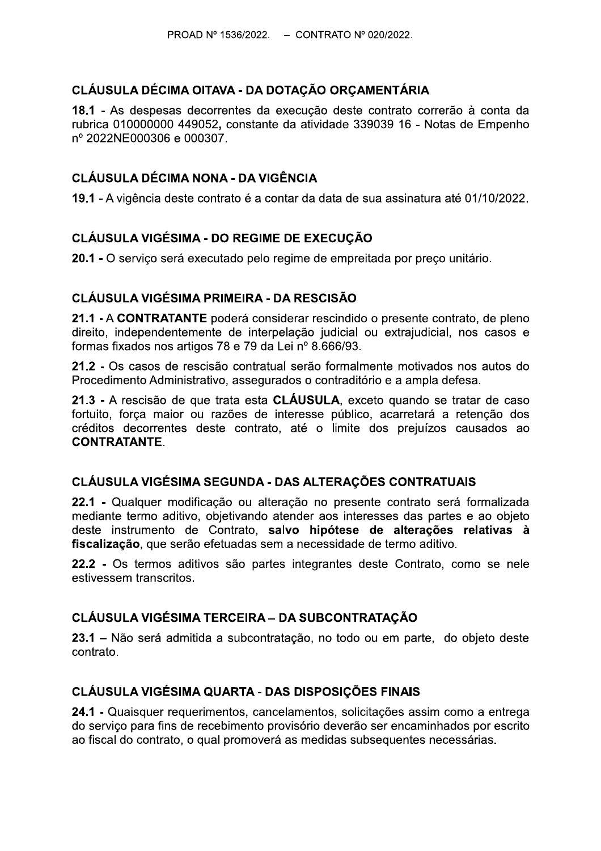# CLÁUSULA DÉCIMA OITAVA - DA DOTAÇÃO ORÇAMENTÁRIA

18.1 - As despesas decorrentes da execução deste contrato correrão à conta da rubrica 010000000 449052, constante da atividade 339039 16 - Notas de Empenho nº 2022NE000306 e 000307.

## **CLÁUSULA DÉCIMA NONA - DA VIGÊNCIA**

19.1 - A vigência deste contrato é a contar da data de sua assinatura até 01/10/2022.

# **CLÁUSULA VIGÉSIMA - DO REGIME DE EXECUÇÃO**

20.1 - O serviço será executado pelo regime de empreitada por preço unitário.

### CLÁUSULA VIGÉSIMA PRIMEIRA - DA RESCISÃO

21.1 - A CONTRATANTE poderá considerar rescindido o presente contrato, de pleno direito, independentemente de interpelação judicial ou extrajudicial, nos casos e formas fixados nos artigos 78 e 79 da Lei nº 8.666/93.

21.2 - Os casos de rescisão contratual serão formalmente motivados nos autos do Procedimento Administrativo, assegurados o contraditório e a ampla defesa.

21.3 - A rescisão de que trata esta CLÁUSULA, exceto quando se tratar de caso fortuito, força maior ou razões de interesse público, acarretará a retenção dos créditos decorrentes deste contrato, até o limite dos prejuízos causados ao **CONTRATANTE.** 

#### CLÁUSULA VIGÉSIMA SEGUNDA - DAS ALTERAÇÕES CONTRATUAIS

22.1 - Qualquer modificação ou alteração no presente contrato será formalizada mediante termo aditivo, objetivando atender aos interesses das partes e ao objeto deste instrumento de Contrato, salvo hipótese de alterações relativas à fiscalização, que serão efetuadas sem a necessidade de termo aditivo.

22.2 - Os termos aditivos são partes integrantes deste Contrato, como se nele estivessem transcritos.

## **CLÁUSULA VIGÉSIMA TERCEIRA - DA SUBCONTRATAÇÃO**

23.1 – Não será admitida a subcontratação, no todo ou em parte, do objeto deste contrato.

## **CLÁUSULA VIGÉSIMA QUARTA - DAS DISPOSICÕES FINAIS**

24.1 - Quaisquer requerimentos, cancelamentos, solicitações assim como a entrega do servico para fins de recebimento provisório deverão ser encaminhados por escrito ao fiscal do contrato, o qual promoverá as medidas subsequentes necessárias.